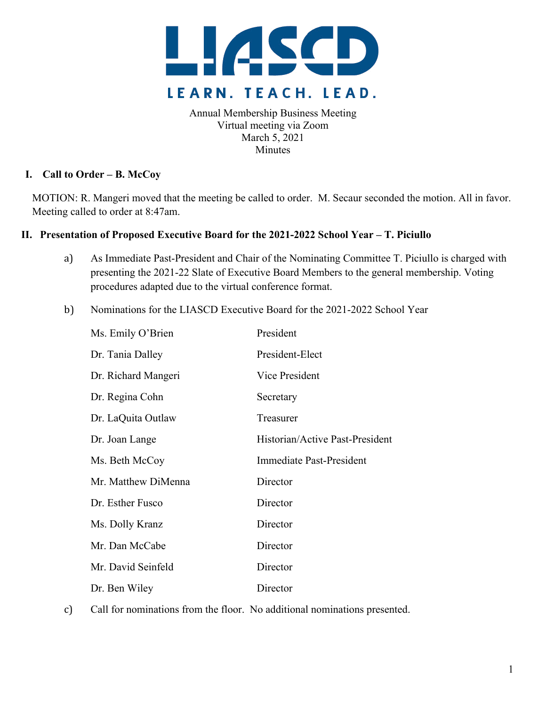

Annual Membership Business Meeting Virtual meeting via Zoom March 5, 2021 Minutes

## **I. Call to Order – B. McCoy**

MOTION: R. Mangeri moved that the meeting be called to order. M. Secaur seconded the motion. All in favor. Meeting called to order at 8:47am.

## **II. Presentation of Proposed Executive Board for the 2021-2022 School Year – T. Piciullo**

- a) As Immediate Past-President and Chair of the Nominating Committee T. Piciullo is charged with presenting the 2021-22 Slate of Executive Board Members to the general membership. Voting procedures adapted due to the virtual conference format.
- b) Nominations for the LIASCD Executive Board for the 2021-2022 School Year

| Ms. Emily O'Brien   | President                       |
|---------------------|---------------------------------|
| Dr. Tania Dalley    | President-Elect                 |
| Dr. Richard Mangeri | Vice President                  |
| Dr. Regina Cohn     | Secretary                       |
| Dr. LaQuita Outlaw  | Treasurer                       |
| Dr. Joan Lange      | Historian/Active Past-President |
| Ms. Beth McCoy      | <b>Immediate Past-President</b> |
| Mr. Matthew DiMenna | Director                        |
| Dr. Esther Fusco    | Director                        |
| Ms. Dolly Kranz     | Director                        |
| Mr. Dan McCabe      | Director                        |
| Mr. David Seinfeld  | Director                        |
| Dr. Ben Wiley       | Director                        |

c) Call for nominations from the floor. No additional nominations presented.